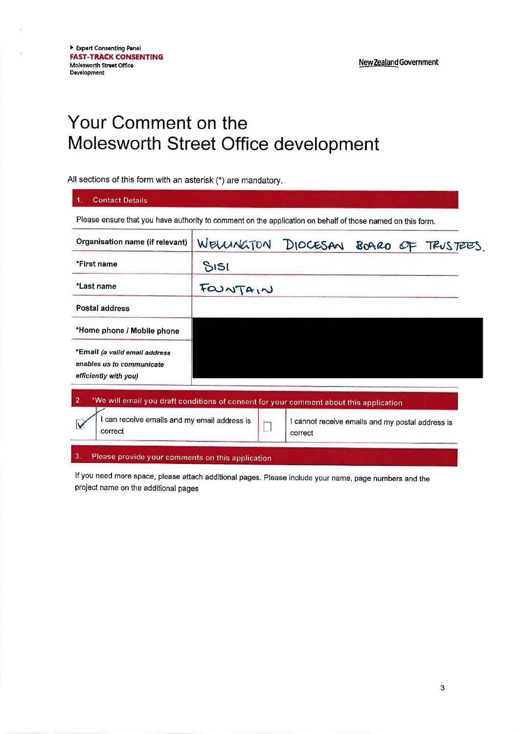New Zealand Government

# Your Comment on the Molesworth Street Office development

## All sections of this form with an asterisk (\*) are mandatory.

| Organisation name (if relevant)                                                     | WELLINGTON DIOCESAN BOARD OF TRUSTEES. |  |  |
|-------------------------------------------------------------------------------------|----------------------------------------|--|--|
| *First name                                                                         | SISI                                   |  |  |
| *Last name                                                                          | FOUNTAIN                               |  |  |
| Postal address                                                                      |                                        |  |  |
| *Home phone / Mobile phone                                                          |                                        |  |  |
| *Email (a valid email address<br>enables us to communicate<br>efficiently with you) |                                        |  |  |

### 3. Please provide your comments on this application

correct

If you need more space, please attach additional pages. Please include your name, page numbers and the project name on the additional pages

 $\Box$ 

correct